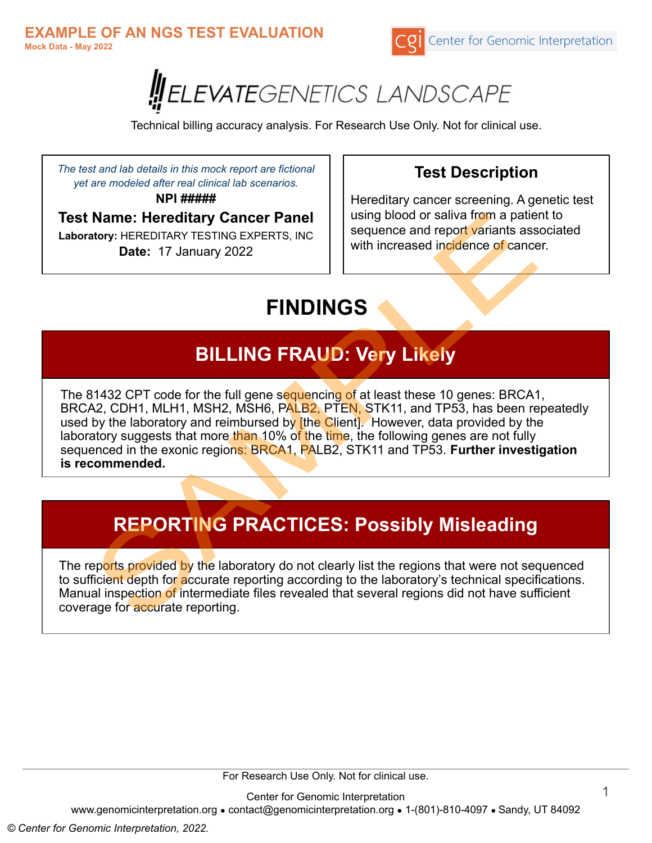



Technical billing accuracy analysis. For Research Use Only. Not for clinical use.

*The test and lab details in this mock report are fictional yet are modeled after real clinical lab scenarios.*

**NPI #####**

**Test Name: Hereditary Cancer Panel**

**Laboratory:** HEREDITARY TESTING EXPERTS, INC **Date:** 17 January 2022

## **Test Description**

Hereditary cancer screening. A genetic test using blood or saliva from a patient to sequence and report variants associated with increased incidence of cancer.

# **FINDINGS**

## **BILLING FRAUD: Very Likely**

The 81432 CPT code for the full gene sequencing of at least these 10 genes: BRCA1, BRCA2, CDH1, MLH1, MSH2, MSH6, PALB2, PTEN, STK11, and TP53, has been repeatedly used by the laboratory and reimbursed by [the Client]. However, data provided by the laboratory suggests that more than 10% of the time, the following genes are not fully sequenced in the exonic regions: BRCA1, PALB2, STK11 and TP53. **Further investigation is recommended.**

## **REPORTING PRACTICES: Possibly Misleading**

The reports provided by the laboratory do not clearly list the regions that were not sequenced to sufficient depth for accurate reporting according to the laboratory's technical specifications. Manual inspection of intermediate files revealed that several regions did not have sufficient coverage for accurate reporting.

For Research Use Only. Not for clinical use.

Center for Genomic Interpretation

www.genomicinterpretation.org ● contact@genomicinterpretation.org ● 1-(801)-810-4097 ● Sandy, UT 84092